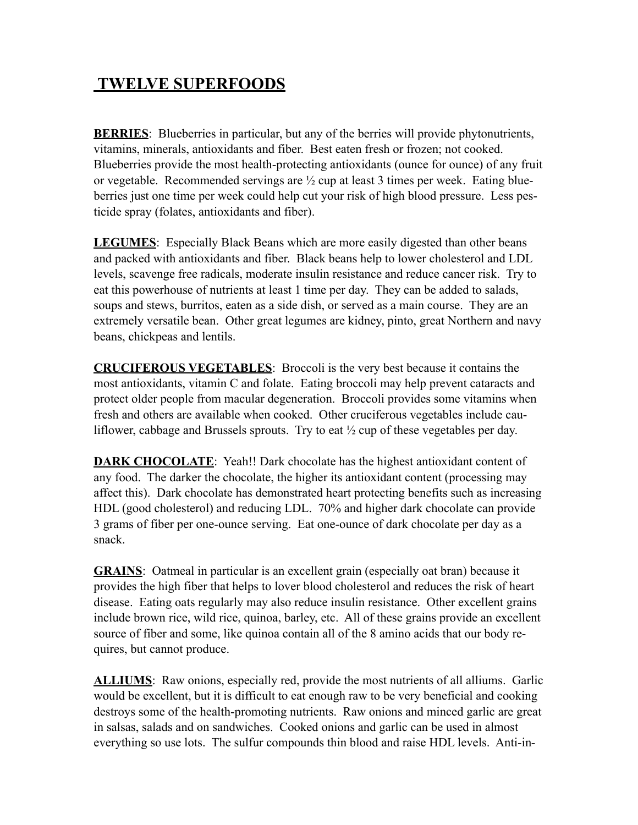## **TWELVE SUPERFOODS**

**BERRIES:** Blueberries in particular, but any of the berries will provide phytonutrients, vitamins, minerals, antioxidants and fiber. Best eaten fresh or frozen; not cooked. Blueberries provide the most health-protecting antioxidants (ounce for ounce) of any fruit or vegetable. Recommended servings are ½ cup at least 3 times per week. Eating blueberries just one time per week could help cut your risk of high blood pressure. Less pesticide spray (folates, antioxidants and fiber).

**LEGUMES**: Especially Black Beans which are more easily digested than other beans and packed with antioxidants and fiber. Black beans help to lower cholesterol and LDL levels, scavenge free radicals, moderate insulin resistance and reduce cancer risk. Try to eat this powerhouse of nutrients at least 1 time per day. They can be added to salads, soups and stews, burritos, eaten as a side dish, or served as a main course. They are an extremely versatile bean. Other great legumes are kidney, pinto, great Northern and navy beans, chickpeas and lentils.

**CRUCIFEROUS VEGETABLES**: Broccoli is the very best because it contains the most antioxidants, vitamin C and folate. Eating broccoli may help prevent cataracts and protect older people from macular degeneration. Broccoli provides some vitamins when fresh and others are available when cooked. Other cruciferous vegetables include cauliflower, cabbage and Brussels sprouts. Try to eat ½ cup of these vegetables per day.

**DARK CHOCOLATE:** Yeah!! Dark chocolate has the highest antioxidant content of any food. The darker the chocolate, the higher its antioxidant content (processing may affect this). Dark chocolate has demonstrated heart protecting benefits such as increasing HDL (good cholesterol) and reducing LDL. 70% and higher dark chocolate can provide 3 grams of fiber per one-ounce serving. Eat one-ounce of dark chocolate per day as a snack.

**GRAINS**: Oatmeal in particular is an excellent grain (especially oat bran) because it provides the high fiber that helps to lover blood cholesterol and reduces the risk of heart disease. Eating oats regularly may also reduce insulin resistance. Other excellent grains include brown rice, wild rice, quinoa, barley, etc. All of these grains provide an excellent source of fiber and some, like quinoa contain all of the 8 amino acids that our body requires, but cannot produce.

**ALLIUMS**: Raw onions, especially red, provide the most nutrients of all alliums. Garlic would be excellent, but it is difficult to eat enough raw to be very beneficial and cooking destroys some of the health-promoting nutrients. Raw onions and minced garlic are great in salsas, salads and on sandwiches. Cooked onions and garlic can be used in almost everything so use lots. The sulfur compounds thin blood and raise HDL levels. Anti-in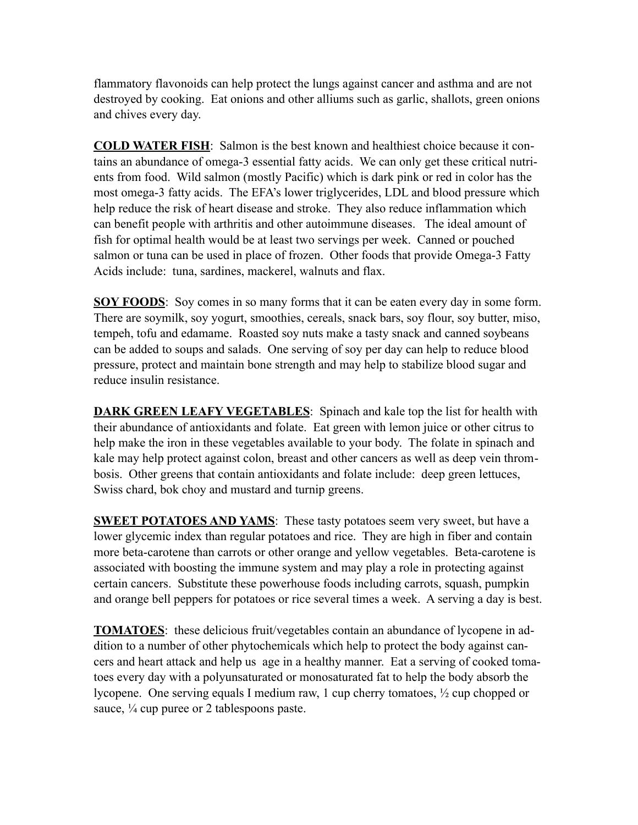flammatory flavonoids can help protect the lungs against cancer and asthma and are not destroyed by cooking. Eat onions and other alliums such as garlic, shallots, green onions and chives every day.

**COLD WATER FISH**: Salmon is the best known and healthiest choice because it contains an abundance of omega-3 essential fatty acids. We can only get these critical nutrients from food. Wild salmon (mostly Pacific) which is dark pink or red in color has the most omega-3 fatty acids. The EFA's lower triglycerides, LDL and blood pressure which help reduce the risk of heart disease and stroke. They also reduce inflammation which can benefit people with arthritis and other autoimmune diseases. The ideal amount of fish for optimal health would be at least two servings per week. Canned or pouched salmon or tuna can be used in place of frozen. Other foods that provide Omega-3 Fatty Acids include: tuna, sardines, mackerel, walnuts and flax.

**SOY FOODS**: Soy comes in so many forms that it can be eaten every day in some form. There are soymilk, soy yogurt, smoothies, cereals, snack bars, soy flour, soy butter, miso, tempeh, tofu and edamame. Roasted soy nuts make a tasty snack and canned soybeans can be added to soups and salads. One serving of soy per day can help to reduce blood pressure, protect and maintain bone strength and may help to stabilize blood sugar and reduce insulin resistance.

**DARK GREEN LEAFY VEGETABLES:** Spinach and kale top the list for health with their abundance of antioxidants and folate. Eat green with lemon juice or other citrus to help make the iron in these vegetables available to your body. The folate in spinach and kale may help protect against colon, breast and other cancers as well as deep vein thrombosis. Other greens that contain antioxidants and folate include: deep green lettuces, Swiss chard, bok choy and mustard and turnip greens.

**SWEET POTATOES AND YAMS:** These tasty potatoes seem very sweet, but have a lower glycemic index than regular potatoes and rice. They are high in fiber and contain more beta-carotene than carrots or other orange and yellow vegetables. Beta-carotene is associated with boosting the immune system and may play a role in protecting against certain cancers. Substitute these powerhouse foods including carrots, squash, pumpkin and orange bell peppers for potatoes or rice several times a week. A serving a day is best.

**TOMATOES**: these delicious fruit/vegetables contain an abundance of lycopene in addition to a number of other phytochemicals which help to protect the body against cancers and heart attack and help us age in a healthy manner. Eat a serving of cooked tomatoes every day with a polyunsaturated or monosaturated fat to help the body absorb the lycopene. One serving equals I medium raw, 1 cup cherry tomatoes, ½ cup chopped or sauce,  $\frac{1}{4}$  cup puree or 2 tablespoons paste.